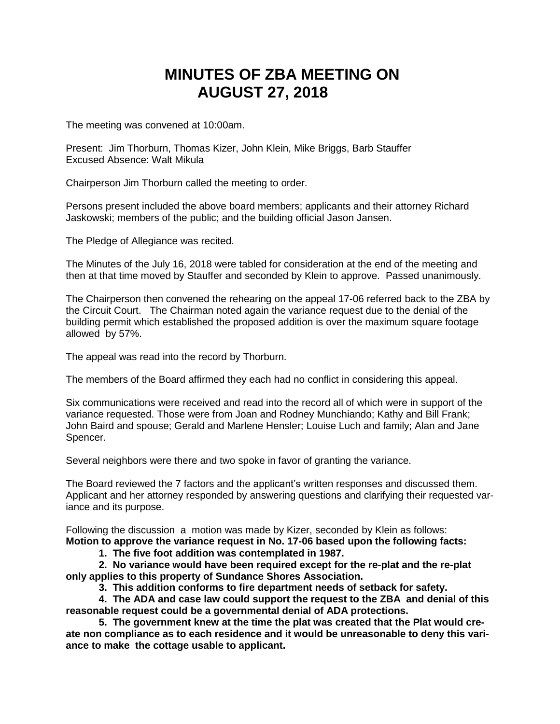## **MINUTES OF ZBA MEETING ON AUGUST 27, 2018**

The meeting was convened at 10:00am.

Present: Jim Thorburn, Thomas Kizer, John Klein, Mike Briggs, Barb Stauffer Excused Absence: Walt Mikula

Chairperson Jim Thorburn called the meeting to order.

Persons present included the above board members; applicants and their attorney Richard Jaskowski; members of the public; and the building official Jason Jansen.

The Pledge of Allegiance was recited.

The Minutes of the July 16, 2018 were tabled for consideration at the end of the meeting and then at that time moved by Stauffer and seconded by Klein to approve. Passed unanimously.

The Chairperson then convened the rehearing on the appeal 17-06 referred back to the ZBA by the Circuit Court. The Chairman noted again the variance request due to the denial of the building permit which established the proposed addition is over the maximum square footage allowed by 57%.

The appeal was read into the record by Thorburn.

The members of the Board affirmed they each had no conflict in considering this appeal.

Six communications were received and read into the record all of which were in support of the variance requested. Those were from Joan and Rodney Munchiando; Kathy and Bill Frank; John Baird and spouse; Gerald and Marlene Hensler; Louise Luch and family; Alan and Jane Spencer.

Several neighbors were there and two spoke in favor of granting the variance.

The Board reviewed the 7 factors and the applicant's written responses and discussed them. Applicant and her attorney responded by answering questions and clarifying their requested variance and its purpose.

Following the discussion a motion was made by Kizer, seconded by Klein as follows: **Motion to approve the variance request in No. 17-06 based upon the following facts:**

**1. The five foot addition was contemplated in 1987.**

**2. No variance would have been required except for the re-plat and the re-plat only applies to this property of Sundance Shores Association.**

**3. This addition conforms to fire department needs of setback for safety.**

**4. The ADA and case law could support the request to the ZBA and denial of this reasonable request could be a governmental denial of ADA protections.**

**5. The government knew at the time the plat was created that the Plat would create non compliance as to each residence and it would be unreasonable to deny this variance to make the cottage usable to applicant.**